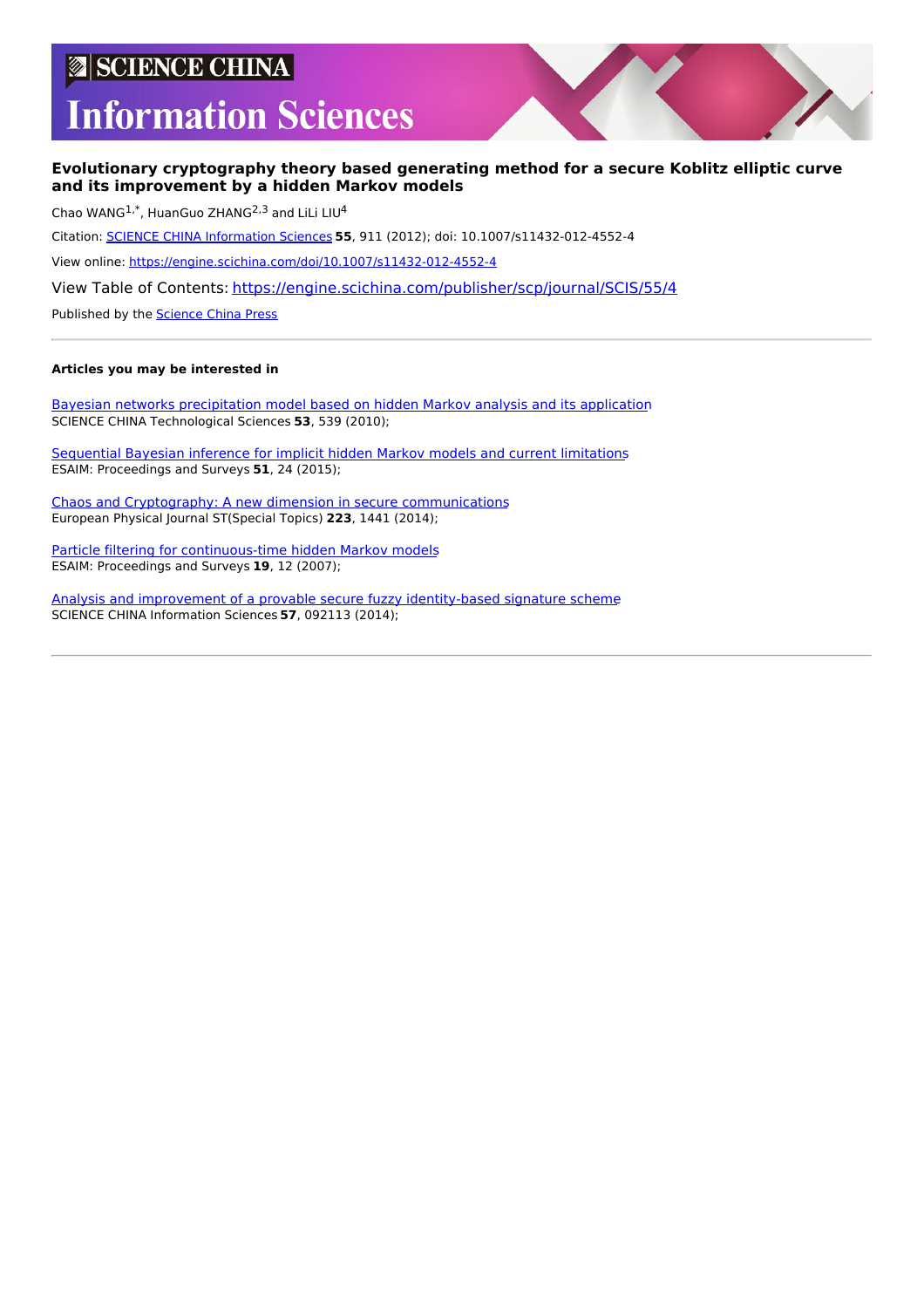# **SCIENCE CHINA**

# **Information Sciences**

# **Evolutionary cryptography theory based generating method for a secure Koblitz elliptic curve and its improvement by a hidden Markov models**

Chao WANG<sup>1,\*</sup>, HuanGuo ZHANG<sup>2,3</sup> and LiLi LIU<sup>4</sup>

Citation: SCIENCE CHINA [Information](https://engine.scichina.com/publisher/scp/journal/SCIS) Sciences **55**, 911 (2012); doi: 10.1007/s11432-012-4552-4

View online: <https://engine.scichina.com/doi/10.1007/s11432-012-4552-4>

View Table of Contents: <https://engine.scichina.com/publisher/scp/journal/SCIS/55/4>

Published by the [Science](https://engine.scichina.com/publisher/scp) China Press

# **Articles you may be interested in**

Bayesian networks [precipitation](https://engine.scichina.com/doi/10.1007/s11431-010-0034-3) model based on hidden Markov analysis and its application SCIENCE CHINA Technological Sciences **53**, 539 (2010);

[Sequential](https://engine.scichina.com/doi/10.1051/proc/201551002) Bayesian inference for implicit hidden Markov models and current limitations ESAIM: Proceedings and Surveys **51**, 24 (2015);

Chaos and Cryptography: A new dimension in secure [communications](https://engine.scichina.com/doi/10.1140/epjst/e2014-02208-9) European Physical Journal ST(Special Topics) **223**, 1441 (2014);

Particle filtering for [continuous-time](https://engine.scichina.com/doi/10.1051/proc:071903) hidden Markov models ESAIM: Proceedings and Surveys **19**, 12 (2007);

Analysis and improvement of a provable secure fuzzy [identity-based](https://engine.scichina.com/doi/10.1007/s11432-014-5152-2) signature scheme SCIENCE CHINA Information Sciences **57**, 092113 (2014);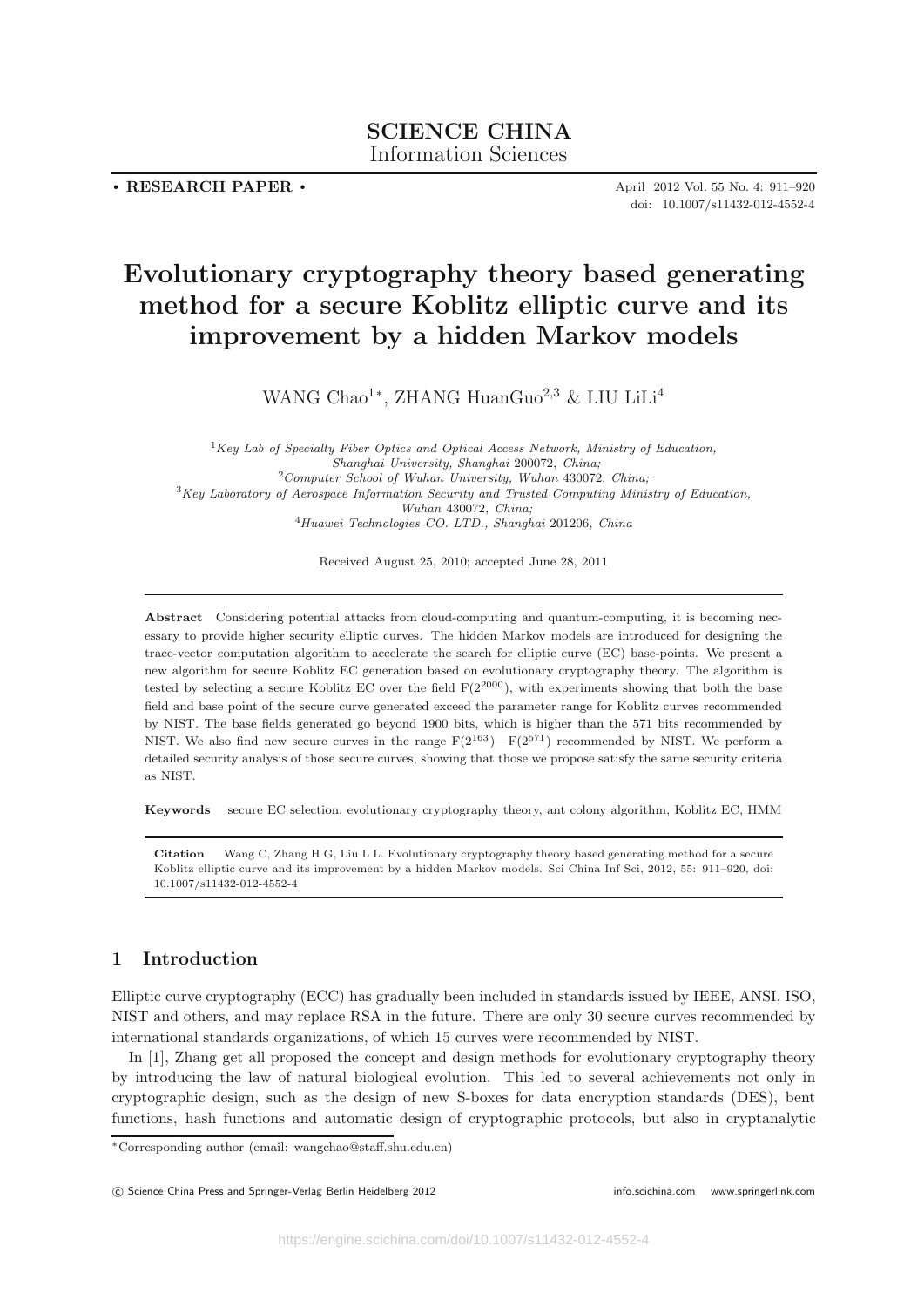# **SCIENCE CHINA** Information Sciences

**. RESEARCH PAPER .**

April 2012 Vol. 55 No. 4: 911–920 doi: 10.1007/s11432-012-4552-4

# **Evolutionary cryptography theory based generating method for a secure Koblitz elliptic curve and its improvement by a hidden Markov models**

WANG Chao<sup>1</sup><sup>∗</sup>, ZHANG HuanGuo<sup>2,3</sup> & LIU LiLi<sup>4</sup>

*Key Lab of Specialty Fiber Optics and Optical Access Network, Ministry of Education, Shanghai University, Shanghai* 200072, *China; Computer School of Wuhan University, Wuhan* 430072, *China; Key Laboratory of Aerospace Information Security and Trusted Computing Ministry of Education, Wuhan* 430072, *China; Huawei Technologies CO. LTD., Shanghai* 201206, *China*

Received August 25, 2010; accepted June 28, 2011

**Abstract** Considering potential attacks from cloud-computing and quantum-computing, it is becoming necessary to provide higher security elliptic curves. The hidden Markov models are introduced for designing the trace-vector computation algorithm to accelerate the search for elliptic curve (EC) base-points. We present a new algorithm for secure Koblitz EC generation based on evolutionary cryptography theory. The algorithm is tested by selecting a secure Koblitz EC over the field  $F(2^{2000})$ , with experiments showing that both the base field and base point of the secure curve generated exceed the parameter range for Koblitz curves recommended by NIST. The base fields generated go beyond 1900 bits, which is higher than the 571 bits recommended by NIST. We also find new secure curves in the range  $F(2^{163}) - F(2^{571})$  recommended by NIST. We perform a detailed security analysis of those secure curves, showing that those we propose satisfy the same security criteria as NIST.

**Keywords** secure EC selection, evolutionary cryptography theory, ant colony algorithm, Koblitz EC, HMM

**Citation** Wang C, Zhang H G, Liu L L. Evolutionary cryptography theory based generating method for a secure Koblitz elliptic curve and its improvement by a hidden Markov models. Sci China Inf Sci, 2012, 55: 911–920, doi: 10.1007/s11432-012-4552-4

# **1 Introduction**

Elliptic curve cryptography (ECC) has gradually been included in standards issued by IEEE, ANSI, ISO, NIST and others, and may replace RSA in the future. There are only 30 secure curves recommended by international standards organizations, of which 15 curves were recommended by NIST.

In [1], Zhang get all proposed the concept and design methods for evolutionary cryptography theory by introducing the law of natural biological evolution. This led to several achievements not only in cryptographic design, such as the design of new S-boxes for data encryption standards (DES), bent functions, hash functions and automatic design of cryptographic protocols, but also in cryptanalytic

<sup>∗</sup>Corresponding author (email: wangchao@staff.shu.edu.cn)

C Science China Press and Springer-Verlag Berlin Heidelberg 2012 **info.scichina.com** www.springerlink.com www.springerlink.com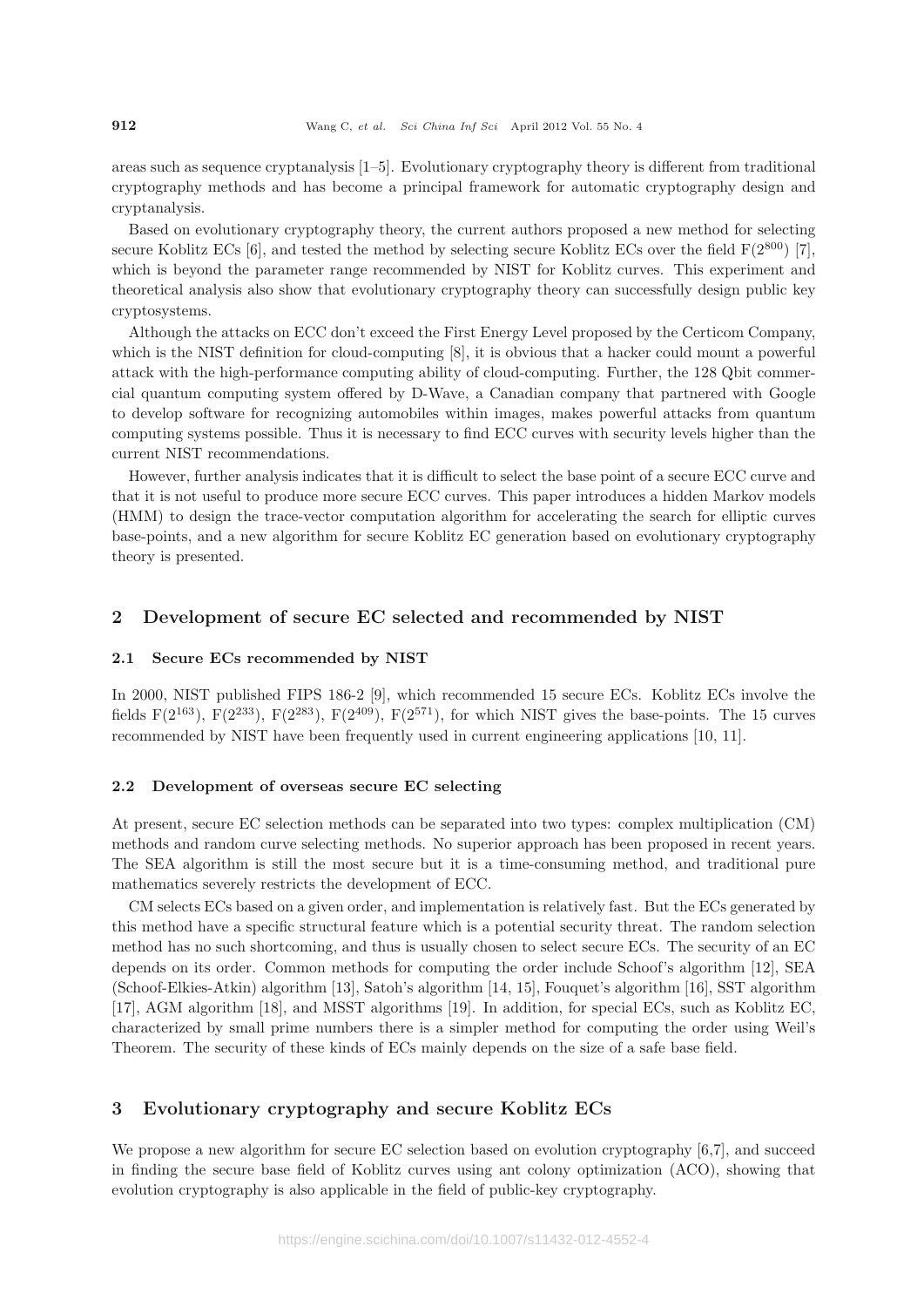areas such as sequence cryptanalysis [1–5]. Evolutionary cryptography theory is different from traditional cryptography methods and has become a principal framework for automatic cryptography design and cryptanalysis.

Based on evolutionary cryptography theory, the current authors proposed a new method for selecting secure Koblitz ECs [6], and tested the method by selecting secure Koblitz ECs over the field  $F(2^{800})$  [7], which is beyond the parameter range recommended by NIST for Koblitz curves. This experiment and theoretical analysis also show that evolutionary cryptography theory can successfully design public key cryptosystems.

Although the attacks on ECC don't exceed the First Energy Level proposed by the Certicom Company, which is the NIST definition for cloud-computing [8], it is obvious that a hacker could mount a powerful attack with the high-performance computing ability of cloud-computing. Further, the 128 Qbit commercial quantum computing system offered by D-Wave, a Canadian company that partnered with Google to develop software for recognizing automobiles within images, makes powerful attacks from quantum computing systems possible. Thus it is necessary to find ECC curves with security levels higher than the current NIST recommendations.

However, further analysis indicates that it is difficult to select the base point of a secure ECC curve and that it is not useful to produce more secure ECC curves. This paper introduces a hidden Markov models (HMM) to design the trace-vector computation algorithm for accelerating the search for elliptic curves base-points, and a new algorithm for secure Koblitz EC generation based on evolutionary cryptography theory is presented.

# **2 Development of secure EC selected and recommended by NIST**

# **2.1 Secure ECs recommended by NIST**

In 2000, NIST published FIPS 186-2 [9], which recommended 15 secure ECs. Koblitz ECs involve the fields F( $2^{163}$ ), F( $2^{233}$ ), F( $2^{283}$ ), F( $2^{409}$ ), F( $2^{571}$ ), for which NIST gives the base-points. The 15 curves recommended by NIST have been frequently used in current engineering applications [10, 11].

#### **2.2 Development of overseas secure EC selecting**

At present, secure EC selection methods can be separated into two types: complex multiplication (CM) methods and random curve selecting methods. No superior approach has been proposed in recent years. The SEA algorithm is still the most secure but it is a time-consuming method, and traditional pure mathematics severely restricts the development of ECC.

CM selects ECs based on a given order, and implementation is relatively fast. But the ECs generated by this method have a specific structural feature which is a potential security threat. The random selection method has no such shortcoming, and thus is usually chosen to select secure ECs. The security of an EC depends on its order. Common methods for computing the order include Schoof's algorithm [12], SEA (Schoof-Elkies-Atkin) algorithm [13], Satoh's algorithm [14, 15], Fouquet's algorithm [16], SST algorithm [17], AGM algorithm [18], and MSST algorithms [19]. In addition, for special ECs, such as Koblitz EC, characterized by small prime numbers there is a simpler method for computing the order using Weil's Theorem. The security of these kinds of ECs mainly depends on the size of a safe base field.

# **3 Evolutionary cryptography and secure Koblitz ECs**

We propose a new algorithm for secure EC selection based on evolution cryptography [6,7], and succeed in finding the secure base field of Koblitz curves using ant colony optimization (ACO), showing that evolution cryptography is also applicable in the field of public-key cryptography.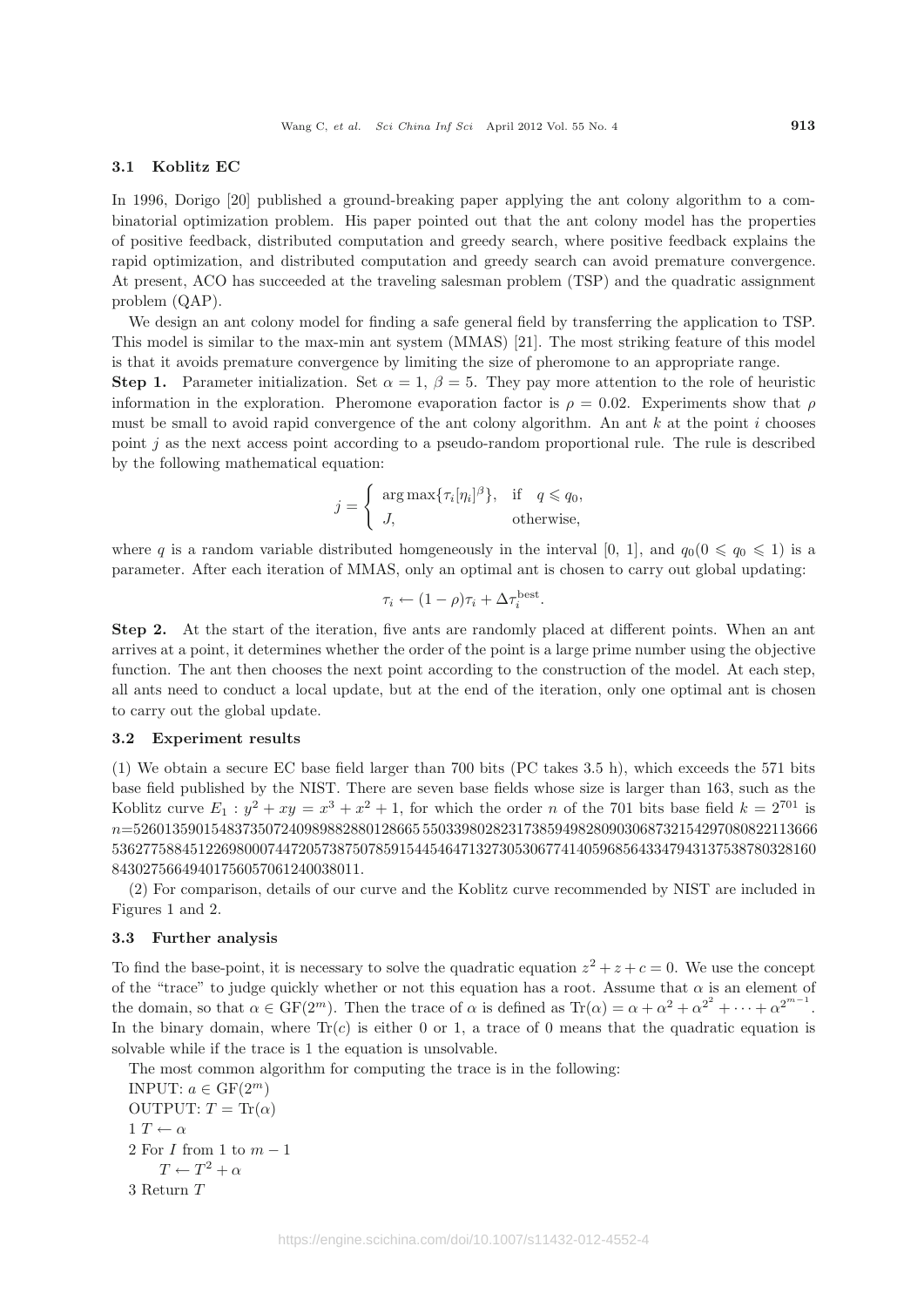# **3.1 Koblitz EC**

In 1996, Dorigo [20] published a ground-breaking paper applying the ant colony algorithm to a combinatorial optimization problem. His paper pointed out that the ant colony model has the properties of positive feedback, distributed computation and greedy search, where positive feedback explains the rapid optimization, and distributed computation and greedy search can avoid premature convergence. At present, ACO has succeeded at the traveling salesman problem (TSP) and the quadratic assignment problem (QAP).

We design an ant colony model for finding a safe general field by transferring the application to TSP. This model is similar to the max-min ant system (MMAS) [21]. The most striking feature of this model is that it avoids premature convergence by limiting the size of pheromone to an appropriate range.

**Step 1.** Parameter initialization. Set  $\alpha = 1$ ,  $\beta = 5$ . They pay more attention to the role of heuristic information in the exploration. Pheromone evaporation factor is  $\rho = 0.02$ . Experiments show that  $\rho$ must be small to avoid rapid convergence of the ant colony algorithm. An ant  $k$  at the point  $i$  chooses point  $j$  as the next access point according to a pseudo-random proportional rule. The rule is described by the following mathematical equation:

$$
j = \begin{cases} \arg \max \{ \tau_i[\eta_i]^\beta \}, & \text{if } q \leq q_0, \\ J, & \text{otherwise,} \end{cases}
$$

where q is a random variable distributed homgeneously in the interval [0, 1], and  $q_0(0 \leq q_0 \leq 1)$  is a parameter. After each iteration of MMAS, only an optimal ant is chosen to carry out global updating:

$$
\tau_i \leftarrow (1 - \rho)\tau_i + \Delta \tau_i^{\text{best}}.
$$

**Step 2.** At the start of the iteration, five ants are randomly placed at different points. When an ant arrives at a point, it determines whether the order of the point is a large prime number using the objective function. The ant then chooses the next point according to the construction of the model. At each step, all ants need to conduct a local update, but at the end of the iteration, only one optimal ant is chosen to carry out the global update.

#### **3.2 Experiment results**

(1) We obtain a secure EC base field larger than 700 bits (PC takes 3.5 h), which exceeds the 571 bits base field published by the NIST. There are seven base fields whose size is larger than 163, such as the Koblitz curve  $E_1 : y^2 + xy = x^3 + x^2 + 1$ , for which the order n of the 701 bits base field  $k = 2^{701}$  is n=5260135901548373507240989882880128665 550339802823173859498280903068732154297080822113666 5362775884512269800074472057387507859154454647132730530677414059685643347943137538780328160 84302756649401756057061240038011.

(2) For comparison, details of our curve and the Koblitz curve recommended by NIST are included in Figures 1 and 2.

#### **3.3 Further analysis**

To find the base-point, it is necessary to solve the quadratic equation  $z^2 + z + c = 0$ . We use the concept of the "trace" to judge quickly whether or not this equation has a root. Assume that  $\alpha$  is an element of the domain, so that  $\alpha \in \mathrm{GF}(2^m)$ . Then the trace of  $\alpha$  is defined as  $\mathrm{Tr}(\alpha) = \alpha + \alpha^2 + \alpha^{2^2} + \cdots + \alpha^{2^{m-1}}$ . In the binary domain, where  $Tr(c)$  is either 0 or 1, a trace of 0 means that the quadratic equation is solvable while if the trace is 1 the equation is unsolvable.

The most common algorithm for computing the trace is in the following:

```
INPUT: a \in \mathrm{GF}(2^m)OUTPUT: T = \text{Tr}(\alpha)1 T \leftarrow \alpha2 For I from 1 to m-1T \leftarrow T^2 + \alpha3 Return T
```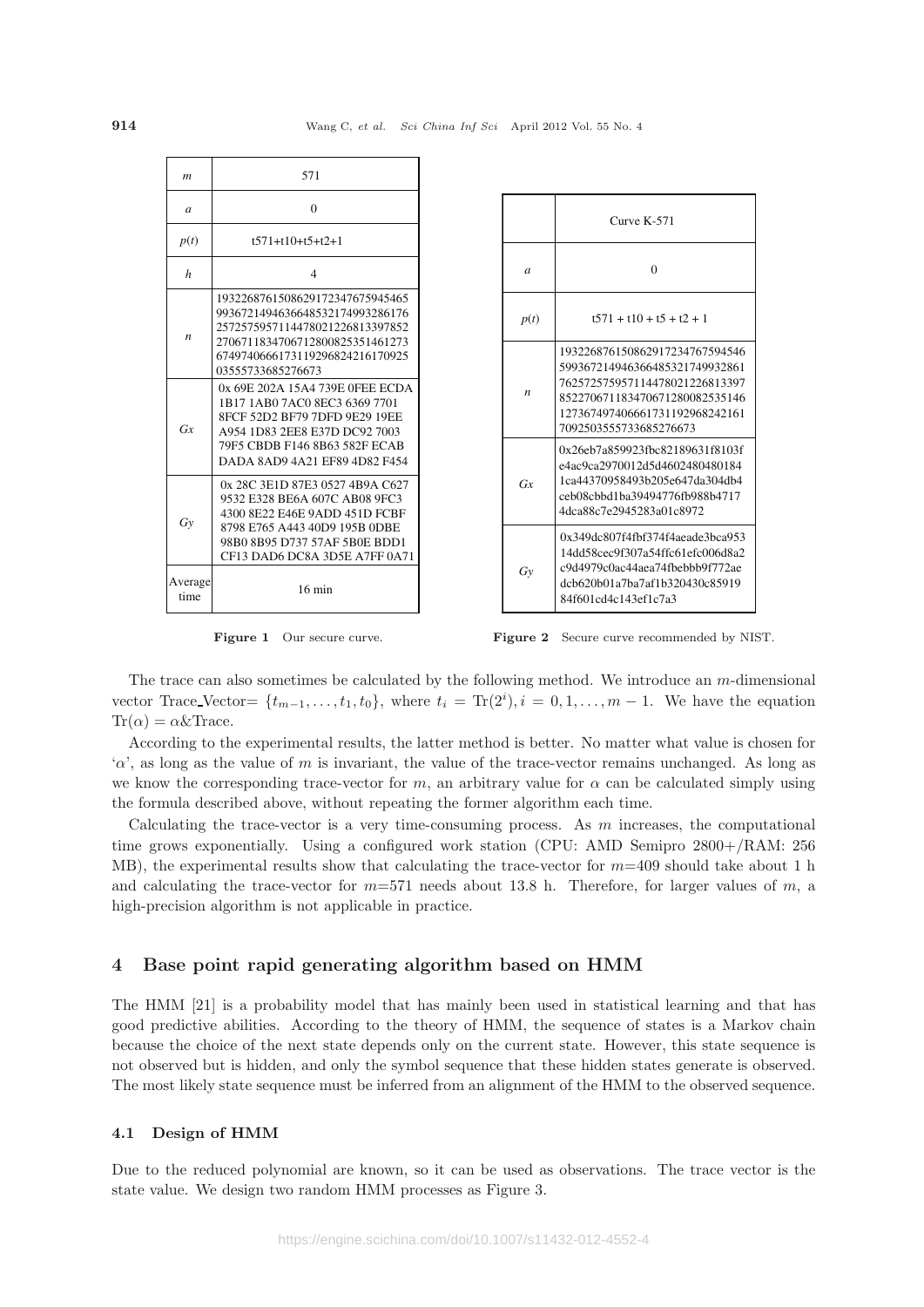| m                | 571                                                                                                                                                                                                  |
|------------------|------------------------------------------------------------------------------------------------------------------------------------------------------------------------------------------------------|
| $\overline{a}$   | $\theta$                                                                                                                                                                                             |
| p(t)             | $t$ 571+t10+t5+t2+1                                                                                                                                                                                  |
| $\boldsymbol{h}$ | $\overline{4}$                                                                                                                                                                                       |
| $\boldsymbol{n}$ | 1932268761508629172347675945465<br>9936721494636648532174993286176<br>2572575957114478021226813397852<br>2706711834706712800825351461273<br>6749740666173119296824216170925<br>03555733685276673     |
| Gx               | 0x 69E 202A 15A4 739E 0FEE ECDA<br>1B17 1AB0 7AC0 8EC3 6369 7701<br>8FCF 52D2 BF79 7DFD 9E29 19EE<br>A954 1D83 2EE8 E37D DC92 7003<br>79F5 CBDB F146 8B63 582F ECAB<br>DADA 8AD9 4A21 EF89 4D82 F454 |
| Gy               | 0x 28C 3E1D 87E3 0527 4B9A C627<br>9532 E328 BE6A 607C AB08 9FC3<br>4300 8E22 E46E 9ADD 451D FCBF<br>8798 E765 A443 40D9 195B 0DBE<br>98B0 8B95 D737 57AF 5B0E BDD1<br>CF13 DAD6 DC8A 3D5E A7FF 0A71 |
| Average<br>time  | $16 \text{ min}$                                                                                                                                                                                     |



**Figure 1** Our secure curve. **Figure 2** Secure curve recommended by NIST.

The trace can also sometimes be calculated by the following method. We introduce an m-dimensional vector Trace Vector=  $\{t_{m-1},\ldots,t_1,t_0\}$ , where  $t_i = \text{Tr}(2^i), i = 0,1,\ldots,m-1$ . We have the equation  $Tr(\alpha) = \alpha \& Trace.$ 

According to the experimental results, the latter method is better. No matter what value is chosen for  $\alpha'$ , as long as the value of m is invariant, the value of the trace-vector remains unchanged. As long as we know the corresponding trace-vector for m, an arbitrary value for  $\alpha$  can be calculated simply using the formula described above, without repeating the former algorithm each time.

Calculating the trace-vector is a very time-consuming process. As  $m$  increases, the computational time grows exponentially. Using a configured work station (CPU: AMD Semipro 2800+/RAM: 256 MB), the experimental results show that calculating the trace-vector for  $m=409$  should take about 1 h and calculating the trace-vector for  $m=571$  needs about 13.8 h. Therefore, for larger values of m, a high-precision algorithm is not applicable in practice.

# **4 Base point rapid generating algorithm based on HMM**

The HMM [21] is a probability model that has mainly been used in statistical learning and that has good predictive abilities. According to the theory of HMM, the sequence of states is a Markov chain because the choice of the next state depends only on the current state. However, this state sequence is not observed but is hidden, and only the symbol sequence that these hidden states generate is observed. The most likely state sequence must be inferred from an alignment of the HMM to the observed sequence.

#### **4.1 Design of HMM**

Due to the reduced polynomial are known, so it can be used as observations. The trace vector is the state value. We design two random HMM processes as Figure 3.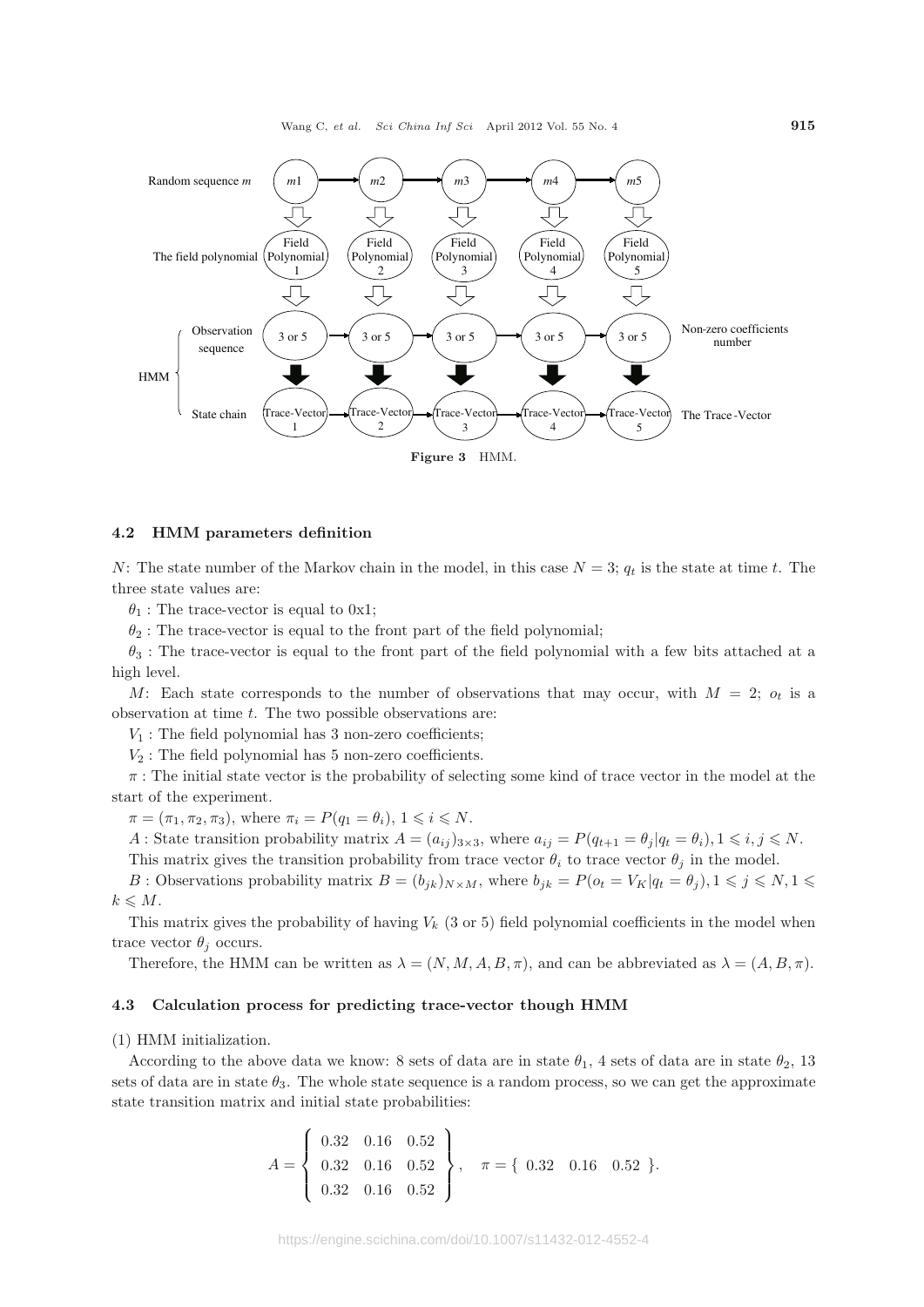Wang C, *et al. Sci China Inf Sci* April 2012 Vol. 55 No. 4 **915**



#### **4.2 HMM parameters definition**

N: The state number of the Markov chain in the model, in this case  $N = 3$ ;  $q_t$  is the state at time t. The three state values are:

 $\theta_1$ : The trace-vector is equal to 0x1;

 $\theta_2$ : The trace-vector is equal to the front part of the field polynomial;

 $\theta_3$ : The trace-vector is equal to the front part of the field polynomial with a few bits attached at a high level.

M: Each state corresponds to the number of observations that may occur, with  $M = 2$ ;  $o_t$  is a observation at time  $t$ . The two possible observations are:

 $V_1$ : The field polynomial has 3 non-zero coefficients;

 $V_2$ : The field polynomial has 5 non-zero coefficients.

 $\pi$ : The initial state vector is the probability of selecting some kind of trace vector in the model at the start of the experiment.

 $\pi = (\pi_1, \pi_2, \pi_3)$ , where  $\pi_i = P(q_1 = \theta_i)$ ,  $1 \leq i \leq N$ .

A : State transition probability matrix  $A = (a_{ij})_{3 \times 3}$ , where  $a_{ij} = P(q_{t+1} = \theta_j | q_t = \theta_i)$ ,  $1 \le i, j \le N$ .

This matrix gives the transition probability from trace vector  $\theta_i$  to trace vector  $\theta_j$  in the model.

B : Observations probability matrix  $B = (b_{jk})_{N \times M}$ , where  $b_{jk} = P(o_t = V_K | q_t = \theta_j)$ ,  $1 \leq j \leq N$ ,  $1 \leq j \leq N$  $k \leqslant M$ .

This matrix gives the probability of having  $V_k$  (3 or 5) field polynomial coefficients in the model when trace vector  $\theta_i$  occurs.

Therefore, the HMM can be written as  $\lambda = (N, M, A, B, \pi)$ , and can be abbreviated as  $\lambda = (A, B, \pi)$ .

#### **4.3 Calculation process for predicting trace-vector though HMM**

(1) HMM initialization.

According to the above data we know: 8 sets of data are in state  $\theta_1$ , 4 sets of data are in state  $\theta_2$ , 13 sets of data are in state  $\theta_3$ . The whole state sequence is a random process, so we can get the approximate state transition matrix and initial state probabilities:

$$
A = \left\{ \begin{array}{ccc} 0.32 & 0.16 & 0.52 \\ 0.32 & 0.16 & 0.52 \\ 0.32 & 0.16 & 0.52 \end{array} \right\}, \quad \pi = \left\{ \begin{array}{ccc} 0.32 & 0.16 & 0.52 \end{array} \right\}.
$$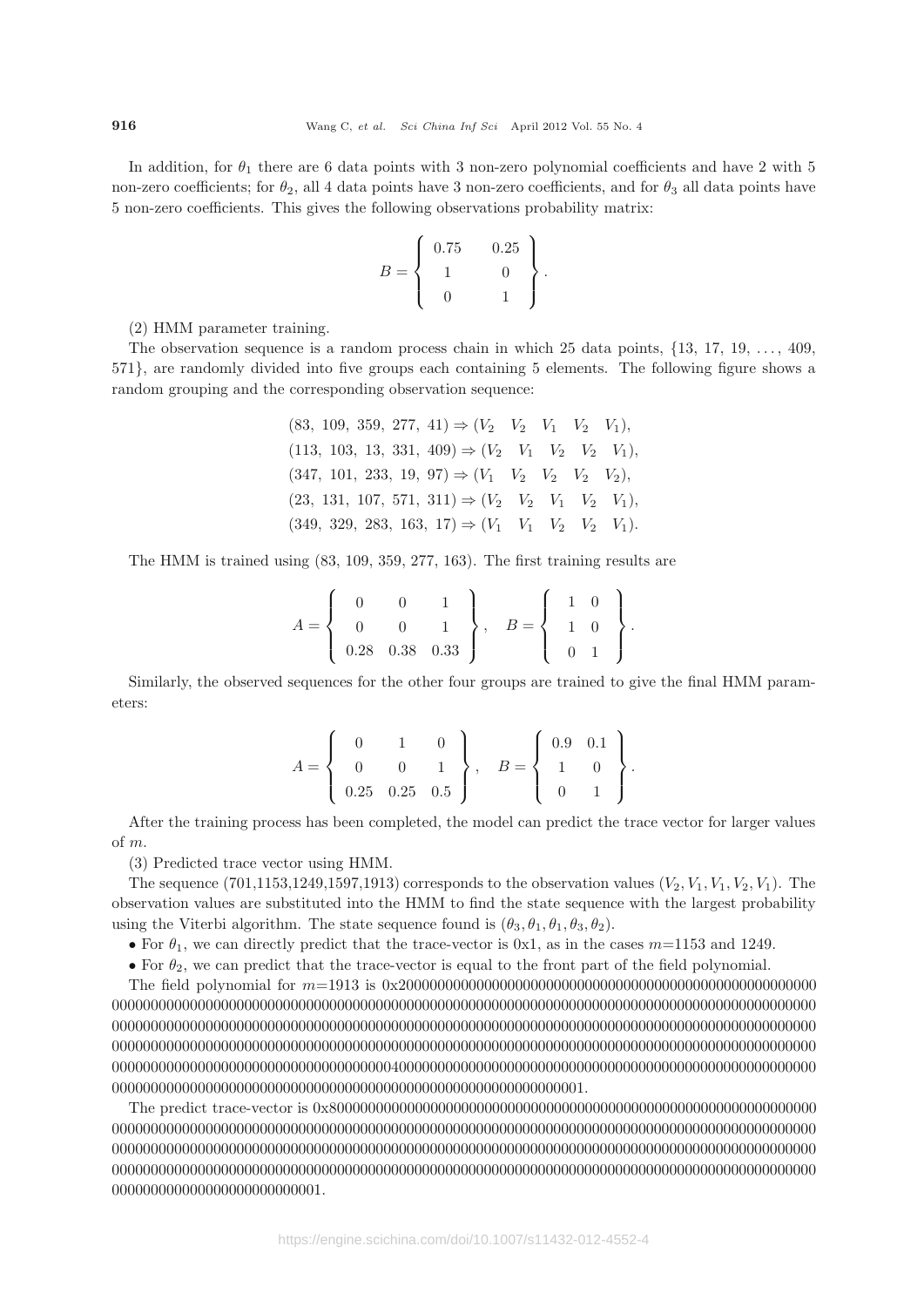In addition, for  $\theta_1$  there are 6 data points with 3 non-zero polynomial coefficients and have 2 with 5 non-zero coefficients; for  $\theta_2$ , all 4 data points have 3 non-zero coefficients, and for  $\theta_3$  all data points have 5 non-zero coefficients. This gives the following observations probability matrix:

$$
B = \left\{ \begin{array}{cc} 0.75 & 0.25 \\ 1 & 0 \\ 0 & 1 \end{array} \right\}.
$$

(2) HMM parameter training.

The observation sequence is a random process chain in which 25 data points, {13, 17, 19, ..., 409, 571}, are randomly divided into five groups each containing 5 elements. The following figure shows a random grouping and the corresponding observation sequence:

> $(83, 109, 359, 277, 41) \Rightarrow (V_2 \quad V_2 \quad V_1 \quad V_2 \quad V_1),$  $(113, 103, 13, 331, 409) \Rightarrow (V_2 \quad V_1 \quad V_2 \quad V_2 \quad V_1),$  $(347, 101, 233, 19, 97) \Rightarrow (V_1 \quad V_2 \quad V_2 \quad V_3 \quad V_2),$  $(23, 131, 107, 571, 311) \Rightarrow (V_2 \quad V_2 \quad V_1 \quad V_2 \quad V_1),$  $(349, 329, 283, 163, 17) \Rightarrow (V_1 \quad V_1 \quad V_2 \quad V_2 \quad V_1).$

The HMM is trained using (83, 109, 359, 277, 163). The first training results are

$$
A = \left\{ \begin{array}{ccc} 0 & 0 & 1 \\ 0 & 0 & 1 \\ 0.28 & 0.38 & 0.33 \end{array} \right\}, \quad B = \left\{ \begin{array}{ccc} 1 & 0 \\ 1 & 0 \\ 0 & 1 \end{array} \right\}.
$$

Similarly, the observed sequences for the other four groups are trained to give the final HMM parameters:

$$
A = \left\{ \begin{array}{ccc} 0 & 1 & 0 \\ 0 & 0 & 1 \\ 0.25 & 0.25 & 0.5 \end{array} \right\}, \quad B = \left\{ \begin{array}{ccc} 0.9 & 0.1 \\ 1 & 0 \\ 0 & 1 \end{array} \right\}
$$

.

After the training process has been completed, the model can predict the trace vector for larger values of m.

(3) Predicted trace vector using HMM.

The sequence  $(701, 1153, 1249, 1597, 1913)$  corresponds to the observation values  $(V_2, V_1, V_1, V_2, V_1)$ . The observation values are substituted into the HMM to find the state sequence with the largest probability using the Viterbi algorithm. The state sequence found is  $(\theta_3, \theta_1, \theta_1, \theta_3, \theta_2)$ .

• For  $\theta_1$ , we can directly predict that the trace-vector is 0x1, as in the cases  $m=1153$  and 1249.

• For  $\theta_2$ , we can predict that the trace-vector is equal to the front part of the field polynomial.

The field polynomial for m=1913 is 0x200000000000000000000000000000000000000000000000000000 0000000000000000000000000000000000000000000000000000000000000000000000000000000000000000000 0000000000000000000000000000000000000000000000000000000000000000000000000000000000000000000 0000000000000000000000000000000000000000000000000000000000000000000000000000000000000000000 0000000000000000000000000000000000004000000000000000000000000000000000000000000000000000000 0000000000000000000000000000000000000000000000000000000000001.

The predict trace-vector is 0x800000000000000000000000000000000000000000000000000000000000000 0000000000000000000000000000000000000000000000000000000000000000000000000000000000000000000 0000000000000000000000000000000000000000000000000000000000000000000000000000000000000000000 0000000000000000000000000000000000000000000000000000000000000000000000000000000000000000000 000000000000000000000000001.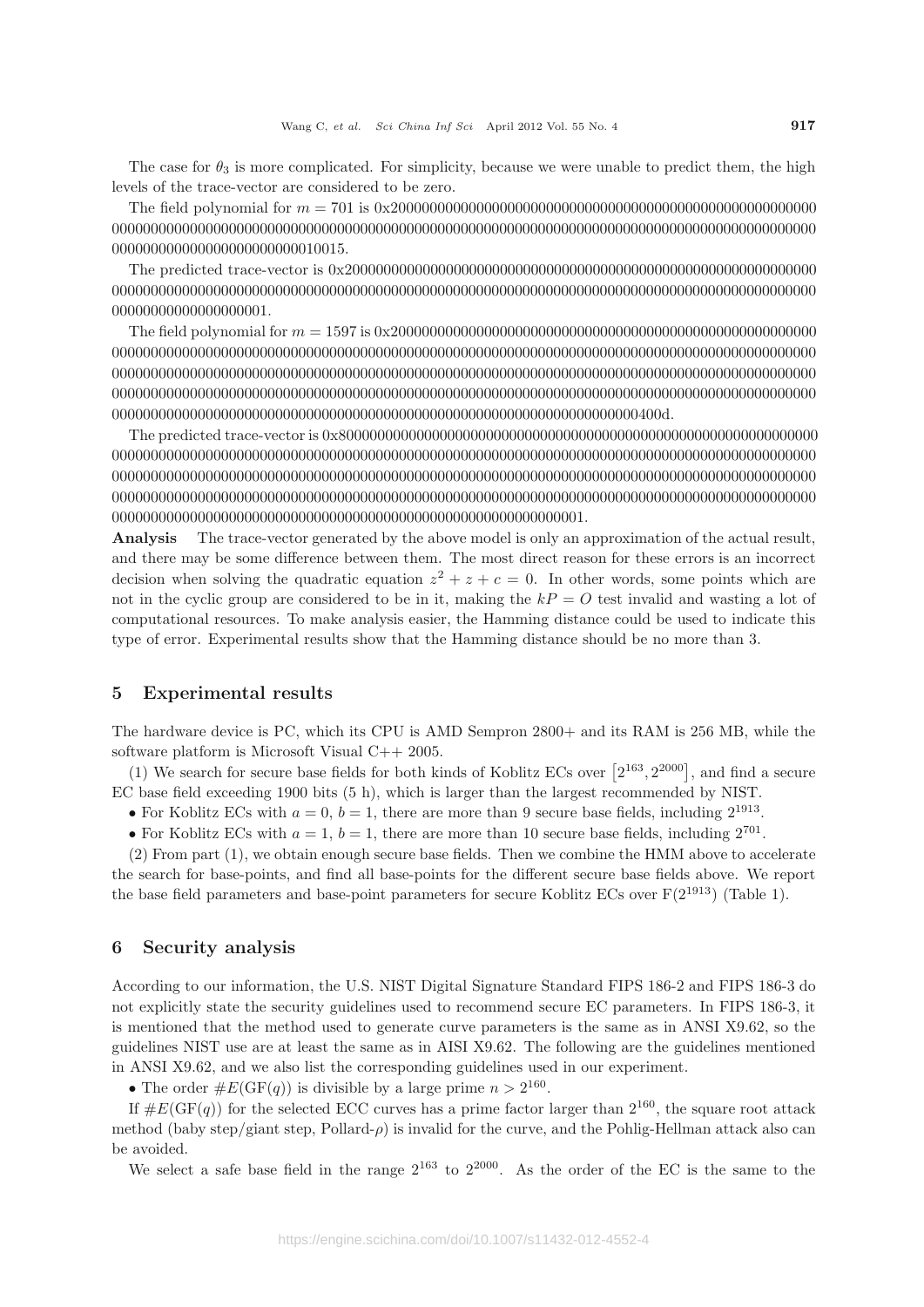The case for  $\theta_3$  is more complicated. For simplicity, because we were unable to predict them, the high levels of the trace-vector are considered to be zero.

The field polynomial for m = 701 is 0x2000000000000000000000000000000000000000000000000000000 0000000000000000000000000000000000000000000000000000000000000000000000000000000000000000000 000000000000000000000000010015.

The predicted trace-vector is 0x2000000000000000000000000000000000000000000000000000000000000 0000000000000000000000000000000000000000000000000000000000000000000000000000000000000000000 00000000000000000001.

The field polynomial for m = 1597 is 0x2000000000000000000000000000000000000000000000000000000 0000000000000000000000000000000000000000000000000000000000000000000000000000000000000000000 0000000000000000000000000000000000000000000000000000000000000000000000000000000000000000000 0000000000000000000000000000000000000000000000000000000000000000000000000000000000000000000 00000000000000000000000000000000000000000000000000000000000000000000400d.

The predicted trace-vector is 0x80000000000000000000000000000000000000000000000000000000000000 0000000000000000000000000000000000000000000000000000000000000000000000000000000000000000000 0000000000000000000000000000000000000000000000000000000000000000000000000000000000000000000 0000000000000000000000000000000000000000000000000000000000000000000000000000000000000000000 0000000000000000000000000000000000000000000000000000000000001.

**Analysis** The trace-vector generated by the above model is only an approximation of the actual result, and there may be some difference between them. The most direct reason for these errors is an incorrect decision when solving the quadratic equation  $z^2 + z + c = 0$ . In other words, some points which are not in the cyclic group are considered to be in it, making the  $kP = O$  test invalid and wasting a lot of computational resources. To make analysis easier, the Hamming distance could be used to indicate this type of error. Experimental results show that the Hamming distance should be no more than 3.

# **5 Experimental results**

The hardware device is PC, which its CPU is AMD Sempron 2800+ and its RAM is 256 MB, while the software platform is Microsoft Visual C++ 2005.

(1) We search for secure base fields for both kinds of Koblitz ECs over  $[2^{163}, 2^{2000}]$ , and find a secure EC base field exceeding 1900 bits (5 h), which is larger than the largest recommended by NIST.

• For Koblitz ECs with  $a = 0, b = 1$ , there are more than 9 secure base fields, including  $2^{1913}$ .

• For Koblitz ECs with  $a = 1$ ,  $b = 1$ , there are more than 10 secure base fields, including  $2^{701}$ .

(2) From part (1), we obtain enough secure base fields. Then we combine the HMM above to accelerate the search for base-points, and find all base-points for the different secure base fields above. We report the base field parameters and base-point parameters for secure Koblitz ECs over  $F(2^{1913})$  (Table 1).

# **6 Security analysis**

According to our information, the U.S. NIST Digital Signature Standard FIPS 186-2 and FIPS 186-3 do not explicitly state the security guidelines used to recommend secure EC parameters. In FIPS 186-3, it is mentioned that the method used to generate curve parameters is the same as in ANSI X9.62, so the guidelines NIST use are at least the same as in AISI X9.62. The following are the guidelines mentioned in ANSI X9.62, and we also list the corresponding guidelines used in our experiment.

• The order  $\#E(\text{GF}(q))$  is divisible by a large prime  $n > 2^{160}$ .

If  $\#E(\text{GF}(q))$  for the selected ECC curves has a prime factor larger than  $2^{160}$ , the square root attack method (baby step/giant step, Pollard- $\rho$ ) is invalid for the curve, and the Pohlig-Hellman attack also can be avoided.

We select a safe base field in the range  $2^{163}$  to  $2^{2000}$ . As the order of the EC is the same to the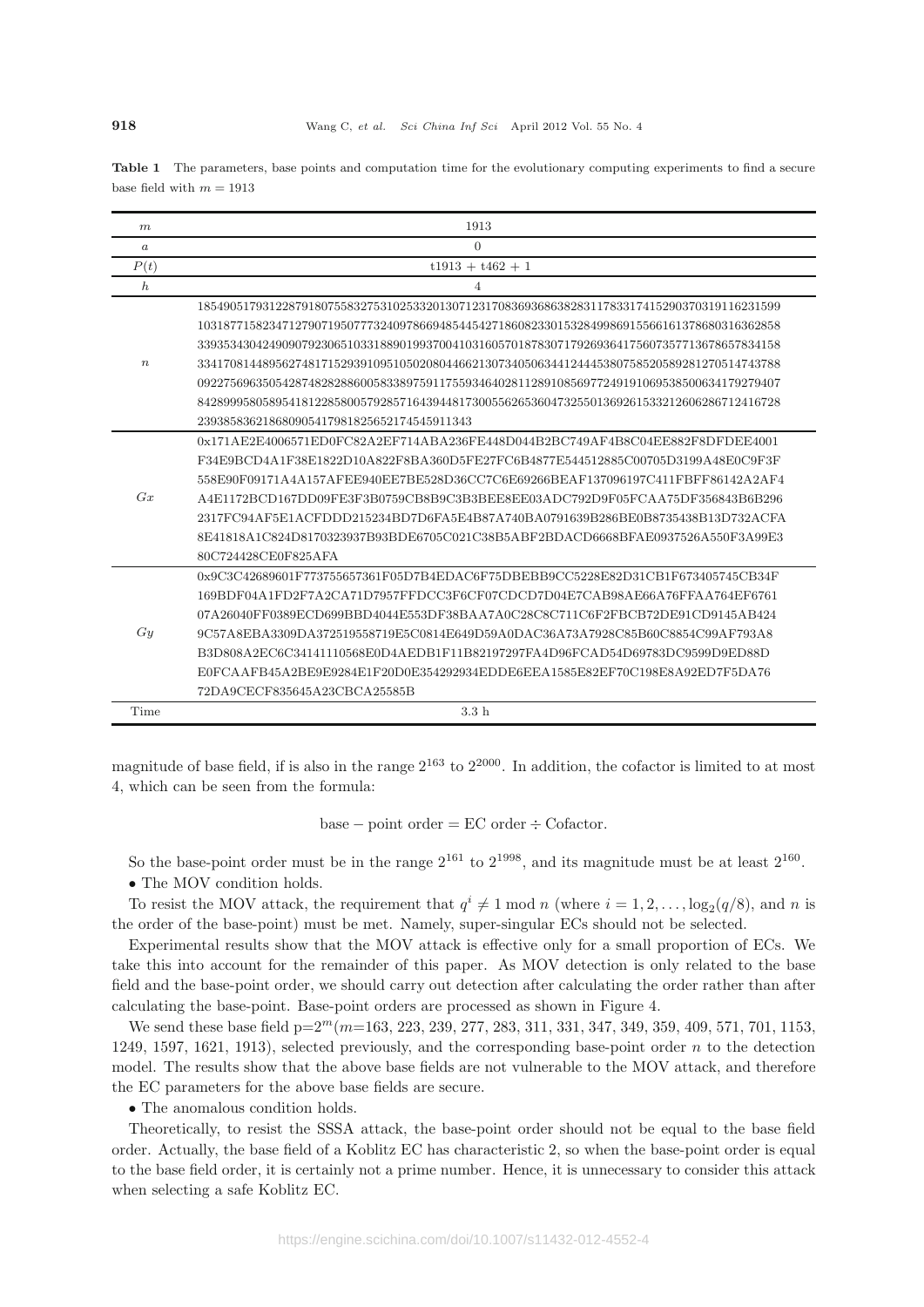**Table 1** The parameters, base points and computation time for the evolutionary computing experiments to find a secure base field with  $m = 1913$ 

| m                | 1913                                                                                      |
|------------------|-------------------------------------------------------------------------------------------|
| $\boldsymbol{a}$ | $\Omega$                                                                                  |
| P(t)             | $t1913 + t462 + 1$                                                                        |
| $\boldsymbol{h}$ | $\overline{4}$                                                                            |
|                  | 18549051793122879180755832753102533201307123170836936863828311783317415290370319116231599 |
| $\boldsymbol{n}$ | 10318771582347127907195077732409786694854454271860823301532849986915566161378680316362858 |
|                  | 33935343042490907923065103318890199370041031605701878307179269364175607357713678657834158 |
|                  | 33417081448956274817152939109510502080446621307340506344124445380758520589281270514743788 |
|                  | 09227569635054287482828860058338975911755934640281128910856977249191069538500634179279407 |
|                  | 84289995805895418122858005792857164394481730055626536047325501369261533212606286712416728 |
|                  | 239385836218680905417981825652174545911343                                                |
| Gx               | 0x171AE2E4006571ED0FC82A2EF714ABA236FE448D044B2BC749AF4B8C04EE882F8DFDEE4001              |
|                  | F34E9BCD4A1F38E1822D10A822F8BA360D5FE27FC6B4877E544512885C00705D3199A48E0C9F3F            |
|                  | 558E90F09171A4A157AFEE940EE7BE528D36CC7C6E69266BEAF137096197C411FBFF86142A2AF4            |
|                  | A4E1172BCD167DD09FE3F3B0759CB8B9C3B3BEE8EE03ADC792D9F05FCAA75DF356843B6B296               |
|                  | 2317FC94AF5E1ACFDDD215234BD7D6FA5E4B87A740BA0791639B286BE0B8735438B13D732ACFA             |
|                  | 8E41818A1C824D8170323937B93BDE6705C021C38B5ABF2BDACD6668BFAE0937526A550F3A99E3            |
|                  | 80C724428CE0F825AFA                                                                       |
|                  | 0x9C3C42689601F773755657361F05D7B4EDAC6F75DBEBB9CC5228E82D31CB1F673405745CB34F            |
| Gy               | 169BDF04A1FD2F7A2CA71D7957FFDCC3F6CF07CDCD7D04E7CAB98AE66A76FFAA764EF6761                 |
|                  | 07A26040FF0389ECD699BBD4044E553DF38BAA7A0C28C8C711C6F2FBCB72DE91CD9145AB424               |
|                  | 9C57A8EBA3309DA372519558719E5C0814E649D59A0DAC36A73A7928C85B60C8854C99AF793A8             |
|                  | B3D808A2EC6C34141110568E0D4AEDB1F11B82197297FA4D96FCAD54D69783DC9599D9ED88D               |
|                  | E0FCAAFB45A2BE9E9284E1F20D0E354292934EDDE6EEA1585E82EF70C198E8A92ED7F5DA76                |
|                  | 72DA9CECF835645A23CBCA25585B                                                              |
| Time             | 3.3h                                                                                      |

magnitude of base field, if is also in the range  $2^{163}$  to  $2^{2000}$ . In addition, the cofactor is limited to at most 4, which can be seen from the formula:

base – point order =  $EC$  order  $\div$  Cofactor.

So the base-point order must be in the range  $2^{161}$  to  $2^{1998}$ , and its magnitude must be at least  $2^{160}$ .

• The MOV condition holds.

To resist the MOV attack, the requirement that  $q^{i} \neq 1 \text{ mod } n$  (where  $i = 1, 2, \ldots, \log_2(q/8)$ , and n is the order of the base-point) must be met. Namely, super-singular ECs should not be selected.

Experimental results show that the MOV attack is effective only for a small proportion of ECs. We take this into account for the remainder of this paper. As MOV detection is only related to the base field and the base-point order, we should carry out detection after calculating the order rather than after calculating the base-point. Base-point orders are processed as shown in Figure 4.

We send these base field  $p=2^m(m=163, 223, 239, 277, 283, 311, 331, 347, 349, 359, 409, 571, 701, 1153,$ 1249, 1597, 1621, 1913), selected previously, and the corresponding base-point order  $n$  to the detection model. The results show that the above base fields are not vulnerable to the MOV attack, and therefore the EC parameters for the above base fields are secure.

• The anomalous condition holds.

Theoretically, to resist the SSSA attack, the base-point order should not be equal to the base field order. Actually, the base field of a Koblitz EC has characteristic 2, so when the base-point order is equal to the base field order, it is certainly not a prime number. Hence, it is unnecessary to consider this attack when selecting a safe Koblitz EC.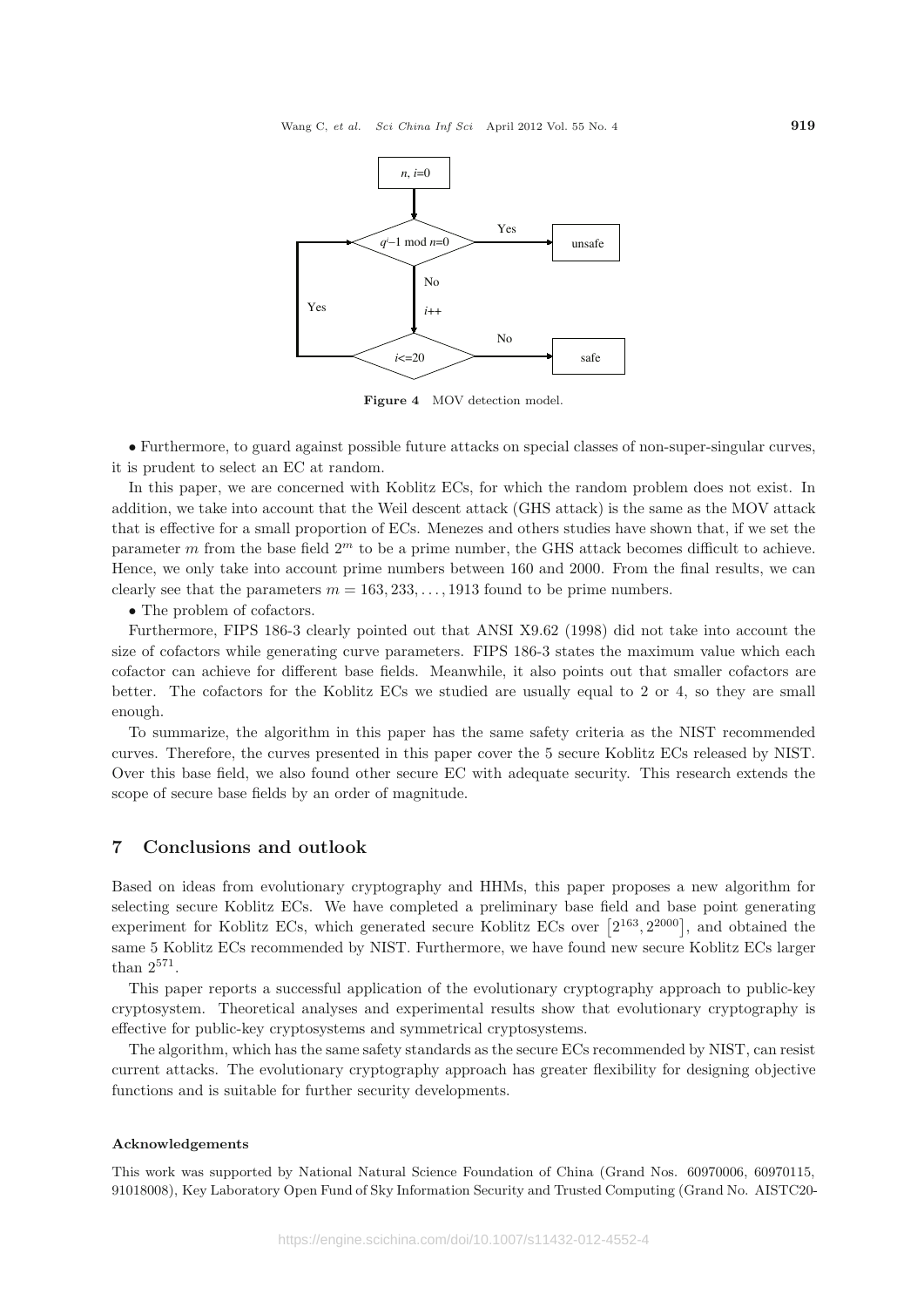

**Figure 4** MOV detection model.

• Furthermore, to guard against possible future attacks on special classes of non-super-singular curves, it is prudent to select an EC at random.

In this paper, we are concerned with Koblitz ECs, for which the random problem does not exist. In addition, we take into account that the Weil descent attack (GHS attack) is the same as the MOV attack that is effective for a small proportion of ECs. Menezes and others studies have shown that, if we set the parameter m from the base field  $2<sup>m</sup>$  to be a prime number, the GHS attack becomes difficult to achieve. Hence, we only take into account prime numbers between 160 and 2000. From the final results, we can clearly see that the parameters  $m = 163, 233, \ldots, 1913$  found to be prime numbers.

• The problem of cofactors.

Furthermore, FIPS 186-3 clearly pointed out that ANSI X9.62 (1998) did not take into account the size of cofactors while generating curve parameters. FIPS 186-3 states the maximum value which each cofactor can achieve for different base fields. Meanwhile, it also points out that smaller cofactors are better. The cofactors for the Koblitz ECs we studied are usually equal to 2 or 4, so they are small enough.

To summarize, the algorithm in this paper has the same safety criteria as the NIST recommended curves. Therefore, the curves presented in this paper cover the 5 secure Koblitz ECs released by NIST. Over this base field, we also found other secure EC with adequate security. This research extends the scope of secure base fields by an order of magnitude.

## **7 Conclusions and outlook**

Based on ideas from evolutionary cryptography and HHMs, this paper proposes a new algorithm for selecting secure Koblitz ECs. We have completed a preliminary base field and base point generating experiment for Koblitz ECs, which generated secure Koblitz ECs over  $[2^{163}, 2^{2000}]$ , and obtained the same 5 Koblitz ECs recommended by NIST. Furthermore, we have found new secure Koblitz ECs larger than 2<sup>571</sup>.

This paper reports a successful application of the evolutionary cryptography approach to public-key cryptosystem. Theoretical analyses and experimental results show that evolutionary cryptography is effective for public-key cryptosystems and symmetrical cryptosystems.

The algorithm, which has the same safety standards as the secure ECs recommended by NIST, can resist current attacks. The evolutionary cryptography approach has greater flexibility for designing objective functions and is suitable for further security developments.

#### **Acknowledgements**

This work was supported by National Natural Science Foundation of China (Grand Nos. 60970006, 60970115, 91018008), Key Laboratory Open Fund of Sky Information Security and Trusted Computing (Grand No. AISTC20